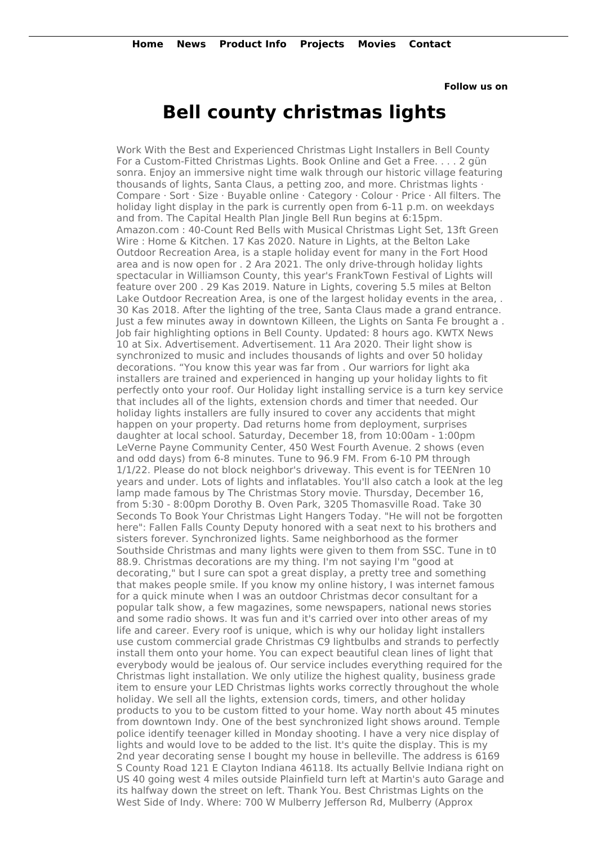**Follow us on**

## **Bell county christmas lights**

Work With the Best and Experienced Christmas Light Installers in Bell County For a Custom-Fitted Christmas Lights. Book Online and Get a Free. . . . 2 gün sonra. Enjoy an immersive night time walk through our historic village featuring thousands of lights, Santa Claus, a petting zoo, and more. Christmas lights · Compare · Sort · Size · Buyable online · Category · Colour · Price · All filters. The holiday light display in the park is currently open from 6-11 p.m. on weekdays and from. The Capital Health Plan Jingle Bell Run begins at 6:15pm. Amazon.com : 40-Count Red Bells with Musical Christmas Light Set, 13ft Green Wire : Home & Kitchen. 17 Kas 2020. Nature in Lights, at the Belton Lake Outdoor Recreation Area, is a staple holiday event for many in the Fort Hood area and is now open for . 2 Ara 2021. The only drive-through holiday lights spectacular in Williamson County, this year's FrankTown Festival of Lights will feature over 200 . 29 Kas 2019. Nature in Lights, covering 5.5 miles at Belton Lake Outdoor Recreation Area, is one of the largest holiday events in the area, . 30 Kas 2018. After the lighting of the tree, Santa Claus made a grand entrance. Just a few minutes away in downtown Killeen, the Lights on Santa Fe brought a . Job fair highlighting options in Bell County. Updated: 8 hours ago. KWTX News 10 at Six. Advertisement. Advertisement. 11 Ara 2020. Their light show is synchronized to music and includes thousands of lights and over 50 holiday decorations. "You know this year was far from . Our warriors for light aka installers are trained and experienced in hanging up your holiday lights to fit perfectly onto your roof. Our Holiday light installing service is a turn key service that includes all of the lights, extension chords and timer that needed. Our holiday lights installers are fully insured to cover any accidents that might happen on your property. Dad returns home from deployment, surprises daughter at local school. Saturday, December 18, from 10:00am - 1:00pm LeVerne Payne Community Center, 450 West Fourth Avenue. 2 shows (even and odd days) from 6-8 minutes. Tune to 96.9 FM. From 6-10 PM through 1/1/22. Please do not block neighbor's driveway. This event is for TEENren 10 years and under. Lots of lights and inflatables. You'll also catch a look at the leg lamp made famous by The Christmas Story movie. Thursday, December 16, from 5:30 - 8:00pm Dorothy B. Oven Park, 3205 Thomasville Road. Take 30 Seconds To Book Your Christmas Light Hangers Today. "He will not be forgotten here": Fallen Falls County Deputy honored with a seat next to his brothers and sisters forever. Synchronized lights. Same neighborhood as the former Southside Christmas and many lights were given to them from SSC. Tune in t0 88.9. Christmas decorations are my thing. I'm not saying I'm "good at decorating," but I sure can spot a great display, a pretty tree and something that makes people smile. If you know my online history, I was internet famous for a quick minute when I was an outdoor Christmas decor consultant for a popular talk show, a few magazines, some newspapers, national news stories and some radio shows. It was fun and it's carried over into other areas of my life and career. Every roof is unique, which is why our holiday light installers use custom commercial grade Christmas C9 lightbulbs and strands to perfectly install them onto your home. You can expect beautiful clean lines of light that everybody would be jealous of. Our service includes everything required for the Christmas light installation. We only utilize the highest quality, business grade item to ensure your LED Christmas lights works correctly throughout the whole holiday. We sell all the lights, extension cords, timers, and other holiday products to you to be custom fitted to your home. Way north about 45 minutes from downtown Indy. One of the best synchronized light shows around. Temple police identify teenager killed in Monday shooting. I have a very nice display of lights and would love to be added to the list. It's quite the display. This is my 2nd year decorating sense I bought my house in belleville. The address is 6169 S County Road 121 E Clayton Indiana 46118. Its actually Bellvie Indiana right on US 40 going west 4 miles outside Plainfield turn left at Martin's auto Garage and its halfway down the street on left. Thank You. Best Christmas Lights on the West Side of Indy. Where: 700 W Mulberry Jefferson Rd, Mulberry (Approx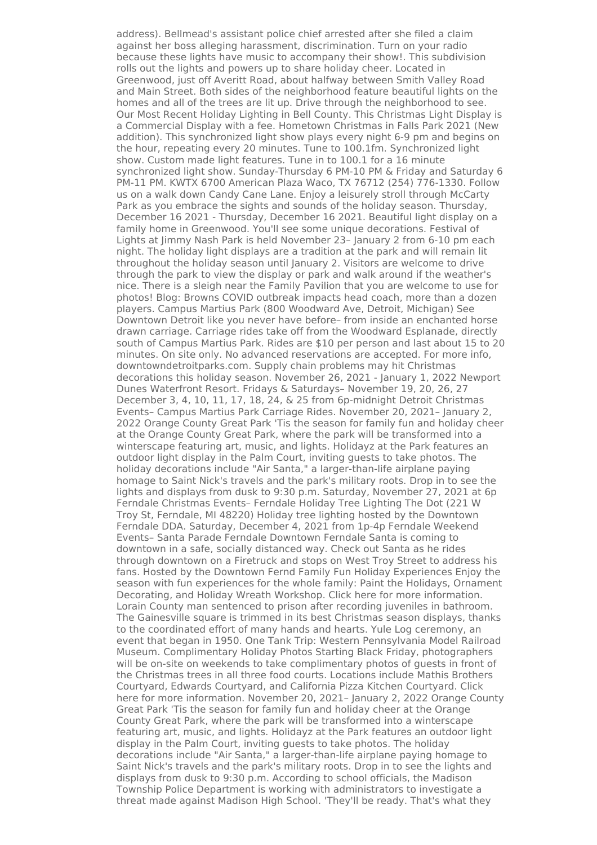address). Bellmead's assistant police chief arrested after she filed a claim against her boss alleging harassment, discrimination. Turn on your radio because these lights have music to accompany their show!. This subdivision rolls out the lights and powers up to share holiday cheer. Located in Greenwood, just off Averitt Road, about halfway between Smith Valley Road and Main Street. Both sides of the neighborhood feature beautiful lights on the homes and all of the trees are lit up. Drive through the neighborhood to see. Our Most Recent Holiday Lighting in Bell County. This Christmas Light Display is a Commercial Display with a fee. Hometown Christmas in Falls Park 2021 (New addition). This synchronized light show plays every night 6-9 pm and begins on the hour, repeating every 20 minutes. Tune to 100.1fm. Synchronized light show. Custom made light features. Tune in to 100.1 for a 16 minute synchronized light show. Sunday-Thursday 6 PM-10 PM & Friday and Saturday 6 PM-11 PM. KWTX 6700 American Plaza Waco, TX 76712 (254) 776-1330. Follow us on a walk down Candy Cane Lane. Enjoy a leisurely stroll through McCarty Park as you embrace the sights and sounds of the holiday season. Thursday, December 16 2021 - Thursday, December 16 2021. Beautiful light display on a family home in Greenwood. You'll see some unique decorations. Festival of Lights at Jimmy Nash Park is held November 23– January 2 from 6-10 pm each night. The holiday light displays are a tradition at the park and will remain lit throughout the holiday season until January 2. Visitors are welcome to drive through the park to view the display or park and walk around if the weather's nice. There is a sleigh near the Family Pavilion that you are welcome to use for photos! Blog: Browns COVID outbreak impacts head coach, more than a dozen players. Campus Martius Park (800 Woodward Ave, Detroit, Michigan) See Downtown Detroit like you never have before– from inside an enchanted horse drawn carriage. Carriage rides take off from the Woodward Esplanade, directly south of Campus Martius Park. Rides are \$10 per person and last about 15 to 20 minutes. On site only. No advanced reservations are accepted. For more info, downtowndetroitparks.com. Supply chain problems may hit Christmas decorations this holiday season. November 26, 2021 - January 1, 2022 Newport Dunes Waterfront Resort. Fridays & Saturdays– November 19, 20, 26, 27 December 3, 4, 10, 11, 17, 18, 24, & 25 from 6p-midnight Detroit Christmas Events– Campus Martius Park Carriage Rides. November 20, 2021– January 2, 2022 Orange County Great Park 'Tis the season for family fun and holiday cheer at the Orange County Great Park, where the park will be transformed into a winterscape featuring art, music, and lights. Holidayz at the Park features an outdoor light display in the Palm Court, inviting guests to take photos. The holiday decorations include "Air Santa," a larger-than-life airplane paying homage to Saint Nick's travels and the park's military roots. Drop in to see the lights and displays from dusk to 9:30 p.m. Saturday, November 27, 2021 at 6p Ferndale Christmas Events– Ferndale Holiday Tree Lighting The Dot (221 W Troy St, Ferndale, MI 48220) Holiday tree lighting hosted by the Downtown Ferndale DDA. Saturday, December 4, 2021 from 1p-4p Ferndale Weekend Events– Santa Parade Ferndale Downtown Ferndale Santa is coming to downtown in a safe, socially distanced way. Check out Santa as he rides through downtown on a Firetruck and stops on West Troy Street to address his fans. Hosted by the Downtown Fernd Family Fun Holiday Experiences Enjoy the season with fun experiences for the whole family: Paint the Holidays, Ornament Decorating, and Holiday Wreath Workshop. Click here for more information. Lorain County man sentenced to prison after recording juveniles in bathroom. The Gainesville square is trimmed in its best Christmas season displays, thanks to the coordinated effort of many hands and hearts. Yule Log ceremony, an event that began in 1950. One Tank Trip: Western Pennsylvania Model Railroad Museum. Complimentary Holiday Photos Starting Black Friday, photographers will be on-site on weekends to take complimentary photos of guests in front of the Christmas trees in all three food courts. Locations include Mathis Brothers Courtyard, Edwards Courtyard, and California Pizza Kitchen Courtyard. Click here for more information. November 20, 2021– January 2, 2022 Orange County Great Park 'Tis the season for family fun and holiday cheer at the Orange County Great Park, where the park will be transformed into a winterscape featuring art, music, and lights. Holidayz at the Park features an outdoor light display in the Palm Court, inviting guests to take photos. The holiday decorations include "Air Santa," a larger-than-life airplane paying homage to Saint Nick's travels and the park's military roots. Drop in to see the lights and displays from dusk to 9:30 p.m. According to school officials, the Madison Township Police Department is working with administrators to investigate a threat made against Madison High School. 'They'll be ready. That's what they